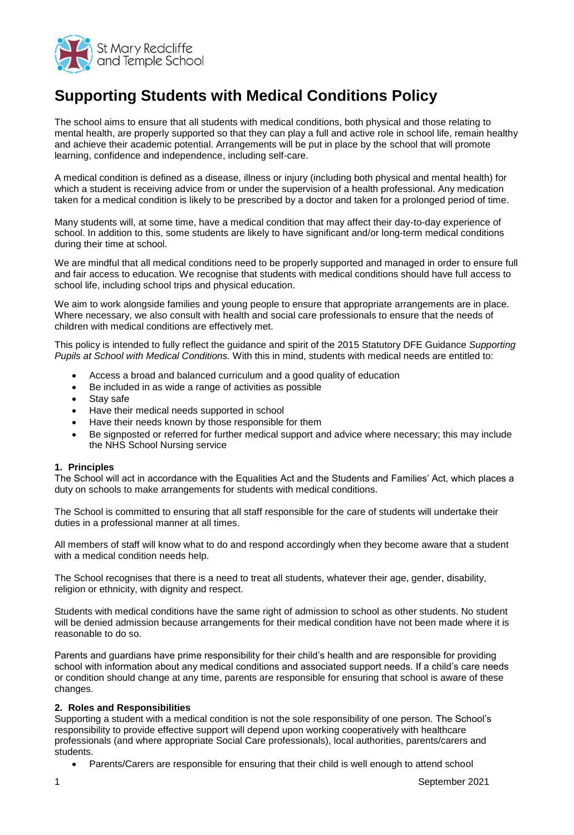

# **Supporting Students with Medical Conditions Policy**

The school aims to ensure that all students with medical conditions, both physical and those relating to mental health, are properly supported so that they can play a full and active role in school life, remain healthy and achieve their academic potential. Arrangements will be put in place by the school that will promote learning, confidence and independence, including self-care.

A medical condition is defined as a disease, illness or injury (including both physical and mental health) for which a student is receiving advice from or under the supervision of a health professional. Any medication taken for a medical condition is likely to be prescribed by a doctor and taken for a prolonged period of time.

Many students will, at some time, have a medical condition that may affect their day-to-day experience of school. In addition to this, some students are likely to have significant and/or long-term medical conditions during their time at school.

We are mindful that all medical conditions need to be properly supported and managed in order to ensure full and fair access to education. We recognise that students with medical conditions should have full access to school life, including school trips and physical education.

We aim to work alongside families and young people to ensure that appropriate arrangements are in place. Where necessary, we also consult with health and social care professionals to ensure that the needs of children with medical conditions are effectively met.

This policy is intended to fully reflect the guidance and spirit of the 2015 Statutory DFE Guidance *Supporting Pupils at School with Medical Conditions.* With this in mind, students with medical needs are entitled to:

- Access a broad and balanced curriculum and a good quality of education
- Be included in as wide a range of activities as possible
- Stav safe
- Have their medical needs supported in school
- Have their needs known by those responsible for them
- Be signposted or referred for further medical support and advice where necessary; this may include the NHS School Nursing service

#### **1. Principles**

The School will act in accordance with the Equalities Act and the Students and Families' Act, which places a duty on schools to make arrangements for students with medical conditions.

The School is committed to ensuring that all staff responsible for the care of students will undertake their duties in a professional manner at all times.

All members of staff will know what to do and respond accordingly when they become aware that a student with a medical condition needs help.

The School recognises that there is a need to treat all students, whatever their age, gender, disability, religion or ethnicity, with dignity and respect.

Students with medical conditions have the same right of admission to school as other students. No student will be denied admission because arrangements for their medical condition have not been made where it is reasonable to do so.

Parents and guardians have prime responsibility for their child's health and are responsible for providing school with information about any medical conditions and associated support needs. If a child's care needs or condition should change at any time, parents are responsible for ensuring that school is aware of these changes.

# **2. Roles and Responsibilities**

Supporting a student with a medical condition is not the sole responsibility of one person. The School's responsibility to provide effective support will depend upon working cooperatively with healthcare professionals (and where appropriate Social Care professionals), local authorities, parents/carers and students.

Parents/Carers are responsible for ensuring that their child is well enough to attend school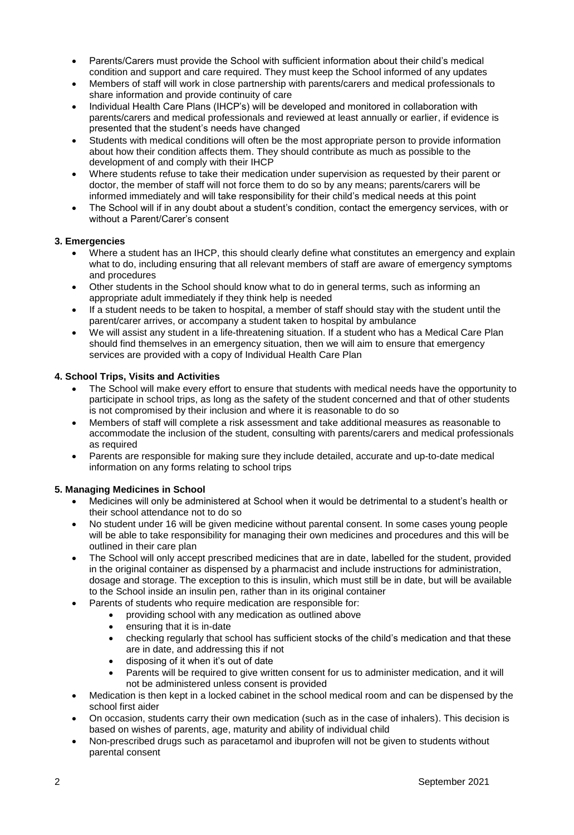- Parents/Carers must provide the School with sufficient information about their child's medical condition and support and care required. They must keep the School informed of any updates
- Members of staff will work in close partnership with parents/carers and medical professionals to share information and provide continuity of care
- Individual Health Care Plans (IHCP's) will be developed and monitored in collaboration with parents/carers and medical professionals and reviewed at least annually or earlier, if evidence is presented that the student's needs have changed
- Students with medical conditions will often be the most appropriate person to provide information about how their condition affects them. They should contribute as much as possible to the development of and comply with their IHCP
- Where students refuse to take their medication under supervision as requested by their parent or doctor, the member of staff will not force them to do so by any means; parents/carers will be informed immediately and will take responsibility for their child's medical needs at this point
- The School will if in any doubt about a student's condition, contact the emergency services, with or without a Parent/Carer's consent

## **3. Emergencies**

- Where a student has an IHCP, this should clearly define what constitutes an emergency and explain what to do, including ensuring that all relevant members of staff are aware of emergency symptoms and procedures
- Other students in the School should know what to do in general terms, such as informing an appropriate adult immediately if they think help is needed
- If a student needs to be taken to hospital, a member of staff should stay with the student until the parent/carer arrives, or accompany a student taken to hospital by ambulance
- We will assist any student in a life-threatening situation. If a student who has a Medical Care Plan should find themselves in an emergency situation, then we will aim to ensure that emergency services are provided with a copy of Individual Health Care Plan

## **4. School Trips, Visits and Activities**

- The School will make every effort to ensure that students with medical needs have the opportunity to participate in school trips, as long as the safety of the student concerned and that of other students is not compromised by their inclusion and where it is reasonable to do so
- Members of staff will complete a risk assessment and take additional measures as reasonable to accommodate the inclusion of the student, consulting with parents/carers and medical professionals as required
- Parents are responsible for making sure they include detailed, accurate and up-to-date medical information on any forms relating to school trips

#### **5. Managing Medicines in School**

- Medicines will only be administered at School when it would be detrimental to a student's health or their school attendance not to do so
- No student under 16 will be given medicine without parental consent. In some cases young people will be able to take responsibility for managing their own medicines and procedures and this will be outlined in their care plan
- The School will only accept prescribed medicines that are in date, labelled for the student, provided in the original container as dispensed by a pharmacist and include instructions for administration, dosage and storage. The exception to this is insulin, which must still be in date, but will be available to the School inside an insulin pen, rather than in its original container
- Parents of students who require medication are responsible for:
	- providing school with any medication as outlined above
	- ensuring that it is in-date
	- checking regularly that school has sufficient stocks of the child's medication and that these are in date, and addressing this if not
	- disposing of it when it's out of date
	- Parents will be required to give written consent for us to administer medication, and it will not be administered unless consent is provided
- Medication is then kept in a locked cabinet in the school medical room and can be dispensed by the school first aider
- On occasion, students carry their own medication (such as in the case of inhalers). This decision is based on wishes of parents, age, maturity and ability of individual child
- Non-prescribed drugs such as paracetamol and ibuprofen will not be given to students without parental consent